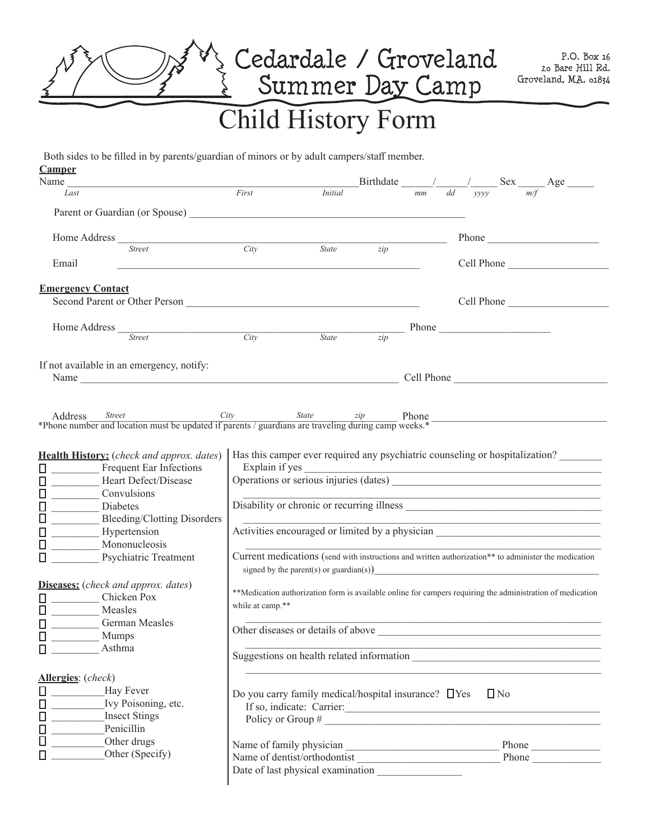

## Both sides to be filled in by parents/guardian of minors or by adult campers/staff member.

| <b>Camper</b>                                                                                                                 |                                                                                                                                                                |                |                  |                                                                                           |  |  |                                                                                                                        |            |  |
|-------------------------------------------------------------------------------------------------------------------------------|----------------------------------------------------------------------------------------------------------------------------------------------------------------|----------------|------------------|-------------------------------------------------------------------------------------------|--|--|------------------------------------------------------------------------------------------------------------------------|------------|--|
| Name<br>Last                                                                                                                  | First                                                                                                                                                          | <i>Initial</i> |                  | Birthdate $\frac{1}{mm}$ $\frac{1}{dd}$ $\frac{1}{yyyy}$ Sex $\frac{1}{m/f}$ Age          |  |  |                                                                                                                        |            |  |
|                                                                                                                               |                                                                                                                                                                |                |                  |                                                                                           |  |  |                                                                                                                        |            |  |
| Parent or Guardian (or Spouse)                                                                                                |                                                                                                                                                                |                |                  |                                                                                           |  |  |                                                                                                                        |            |  |
| Home Address                                                                                                                  |                                                                                                                                                                |                |                  |                                                                                           |  |  | Phone                                                                                                                  |            |  |
| Street                                                                                                                        | City                                                                                                                                                           | State zip      |                  |                                                                                           |  |  |                                                                                                                        |            |  |
| Email                                                                                                                         |                                                                                                                                                                |                |                  |                                                                                           |  |  |                                                                                                                        | Cell Phone |  |
| <b>Emergency Contact</b>                                                                                                      |                                                                                                                                                                |                |                  |                                                                                           |  |  |                                                                                                                        |            |  |
|                                                                                                                               |                                                                                                                                                                |                |                  |                                                                                           |  |  | Cell Phone                                                                                                             |            |  |
| Home Address $\frac{C_{\text{tropat}}}{C_{\text{tropat}}}$                                                                    |                                                                                                                                                                |                |                  |                                                                                           |  |  |                                                                                                                        |            |  |
|                                                                                                                               |                                                                                                                                                                | State          | $\overline{zip}$ |                                                                                           |  |  |                                                                                                                        |            |  |
| If not available in an emergency, notify:                                                                                     |                                                                                                                                                                |                |                  |                                                                                           |  |  |                                                                                                                        |            |  |
|                                                                                                                               |                                                                                                                                                                |                |                  |                                                                                           |  |  |                                                                                                                        |            |  |
|                                                                                                                               |                                                                                                                                                                |                |                  |                                                                                           |  |  |                                                                                                                        |            |  |
|                                                                                                                               |                                                                                                                                                                |                |                  |                                                                                           |  |  | <u> 1990 - Johann John Stoff, market fan it ferskearre fan it ferskearre fan it ferskearre fan it ferskearre fan </u>  |            |  |
| Address <i>Street City State <math>zip</math></i> Phone <i>state if parents / guardians are traveling during camp weeks.*</i> |                                                                                                                                                                |                |                  |                                                                                           |  |  |                                                                                                                        |            |  |
|                                                                                                                               |                                                                                                                                                                |                |                  |                                                                                           |  |  |                                                                                                                        |            |  |
| <b>Health History:</b> (check and approx. dates)                                                                              | Has this camper ever required any psychiatric counseling or hospitalization?                                                                                   |                |                  |                                                                                           |  |  |                                                                                                                        |            |  |
| Ω<br>Frequent Ear Infections                                                                                                  |                                                                                                                                                                |                |                  |                                                                                           |  |  |                                                                                                                        |            |  |
| Heart Defect/Disease<br>Ω                                                                                                     |                                                                                                                                                                |                |                  |                                                                                           |  |  |                                                                                                                        |            |  |
| $\Box$<br>Convulsions                                                                                                         |                                                                                                                                                                |                |                  |                                                                                           |  |  |                                                                                                                        |            |  |
| Diabetes                                                                                                                      | Disability or chronic or recurring illness                                                                                                                     |                |                  |                                                                                           |  |  |                                                                                                                        |            |  |
| 日<br>0<br>Bleeding/Clotting Disorders                                                                                         |                                                                                                                                                                |                |                  |                                                                                           |  |  |                                                                                                                        |            |  |
| Hypertension                                                                                                                  | Activities encouraged or limited by a physician ________________________________                                                                               |                |                  |                                                                                           |  |  |                                                                                                                        |            |  |
| $\Box$                                                                                                                        |                                                                                                                                                                |                |                  |                                                                                           |  |  |                                                                                                                        |            |  |
| $\Box$<br>Mononucleosis                                                                                                       |                                                                                                                                                                |                |                  |                                                                                           |  |  |                                                                                                                        |            |  |
| Ω<br><b>Psychiatric Treatment</b>                                                                                             | Current medications (send with instructions and written authorization** to administer the medication<br>signed by the parent(s) or guardian(s) $\qquad \qquad$ |                |                  |                                                                                           |  |  |                                                                                                                        |            |  |
| <b>Diseases:</b> (check and approx. dates)                                                                                    |                                                                                                                                                                |                |                  |                                                                                           |  |  |                                                                                                                        |            |  |
| Chicken Pox<br>Ω                                                                                                              | ** Medication authorization form is available online for campers requiring the administration of medication                                                    |                |                  |                                                                                           |  |  |                                                                                                                        |            |  |
| $\Box$<br>Measles                                                                                                             | while at camp.**                                                                                                                                               |                |                  |                                                                                           |  |  |                                                                                                                        |            |  |
| $\Box$<br>German Measles                                                                                                      |                                                                                                                                                                |                |                  | the control of the control of the control of the control of the control of the control of |  |  |                                                                                                                        |            |  |
| Ω<br><b>Mumps</b>                                                                                                             |                                                                                                                                                                |                |                  |                                                                                           |  |  |                                                                                                                        |            |  |
| Asthma<br>$\Box$                                                                                                              |                                                                                                                                                                |                |                  |                                                                                           |  |  | <u> 1990 - Johann John Stoff, deutscher Stoff, der Stoff, der Stoff, der Stoff, der Stoff, der Stoff, der Stoff, d</u> |            |  |
|                                                                                                                               | Suggestions on health related information                                                                                                                      |                |                  |                                                                                           |  |  |                                                                                                                        |            |  |
| Allergies: (check)                                                                                                            |                                                                                                                                                                |                |                  |                                                                                           |  |  |                                                                                                                        |            |  |
| $\Box$<br>Hay Fever                                                                                                           | Do you carry family medical/hospital insurance? □ Yes<br>$\Box$ No                                                                                             |                |                  |                                                                                           |  |  |                                                                                                                        |            |  |
| $\Box$<br>Ivy Poisoning, etc.                                                                                                 | If so, indicate: Carrier:                                                                                                                                      |                |                  |                                                                                           |  |  |                                                                                                                        |            |  |
| $\Box$<br><b>Insect Stings</b>                                                                                                | Policy or Group #                                                                                                                                              |                |                  |                                                                                           |  |  |                                                                                                                        |            |  |
| 0<br>0<br>Penicillin                                                                                                          |                                                                                                                                                                |                |                  |                                                                                           |  |  |                                                                                                                        |            |  |
| Other drugs                                                                                                                   |                                                                                                                                                                |                |                  |                                                                                           |  |  |                                                                                                                        | Phone      |  |
| Other (Specify)<br>Ω                                                                                                          | Name of dentist/orthodontist                                                                                                                                   |                |                  |                                                                                           |  |  |                                                                                                                        | Phone      |  |
|                                                                                                                               | Date of last physical examination                                                                                                                              |                |                  |                                                                                           |  |  |                                                                                                                        |            |  |
|                                                                                                                               |                                                                                                                                                                |                |                  |                                                                                           |  |  |                                                                                                                        |            |  |